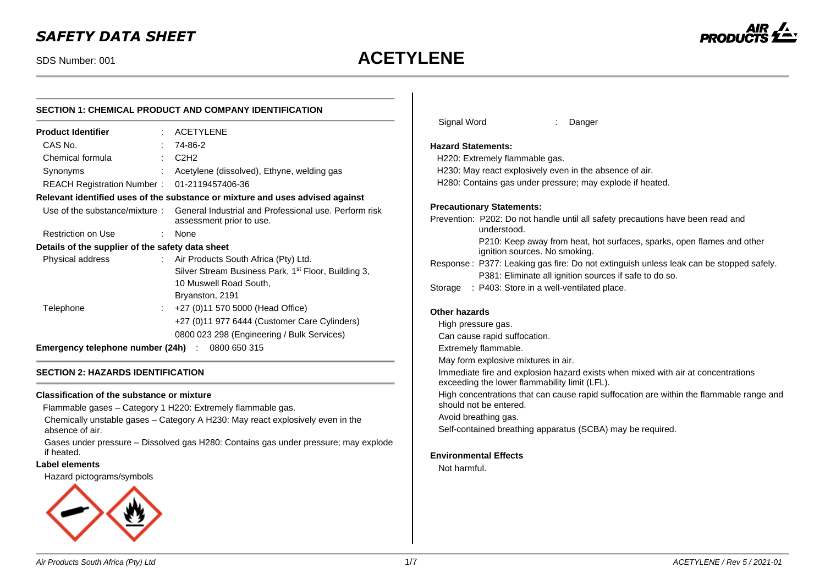# *SAFETY DATA SHEET*

# SDS Number: 001 **ACETYLENE**



# **SECTION 1: CHEMICAL PRODUCT AND COMPANY IDENTIFICATION**

| <b>Product Identifier</b>                        |  | : ACETYLENE                                                                                                      |
|--------------------------------------------------|--|------------------------------------------------------------------------------------------------------------------|
| CAS No.                                          |  | 74-86-2                                                                                                          |
| Chemical formula                                 |  | C2H2                                                                                                             |
| Synonyms                                         |  | Acetylene (dissolved), Ethyne, welding gas                                                                       |
| REACH Registration Number: 01-2119457406-36      |  |                                                                                                                  |
|                                                  |  | Relevant identified uses of the substance or mixture and uses advised against                                    |
|                                                  |  | Use of the substance/mixture : General Industrial and Professional use. Perform risk<br>assessment prior to use. |
| Restriction on Use                               |  | None                                                                                                             |
| Details of the supplier of the safety data sheet |  |                                                                                                                  |
| Physical address                                 |  | : Air Products South Africa (Pty) Ltd.                                                                           |
|                                                  |  | Silver Stream Business Park, 1 <sup>st</sup> Floor, Building 3,                                                  |
|                                                  |  | 10 Muswell Road South,                                                                                           |
|                                                  |  | Bryanston, 2191                                                                                                  |
| Telephone                                        |  | +27 (0)11 570 5000 (Head Office)                                                                                 |
|                                                  |  | +27 (0)11 977 6444 (Customer Care Cylinders)                                                                     |
|                                                  |  | 0800 023 298 (Engineering / Bulk Services)                                                                       |
| Emergency telephone number (24h)                 |  | 0800 650 315                                                                                                     |

#### **SECTION 2: HAZARDS IDENTIFICATION**

#### **Classification of the substance or mixture**

Flammable gases – Category 1 H220: Extremely flammable gas.

Chemically unstable gases – Category A H230: May react explosively even in the absence of air.

Gases under pressure – Dissolved gas H280: Contains gas under pressure; may explode if heated.

# **Label elements**

Hazard pictograms/symbols



| Signal Word               |                                                   | Danger                                                                                 |
|---------------------------|---------------------------------------------------|----------------------------------------------------------------------------------------|
| <b>Hazard Statements:</b> |                                                   |                                                                                        |
|                           | H220: Extremely flammable gas.                    |                                                                                        |
|                           |                                                   | H230: May react explosively even in the absence of air.                                |
|                           |                                                   | H280: Contains gas under pressure; may explode if heated.                              |
|                           | <b>Precautionary Statements:</b>                  |                                                                                        |
|                           | understood.                                       | Prevention: P202: Do not handle until all safety precautions have been read and        |
|                           | ignition sources. No smoking.                     | P210: Keep away from heat, hot surfaces, sparks, open flames and other                 |
|                           |                                                   | Response: P377: Leaking gas fire: Do not extinguish unless leak can be stopped safely. |
|                           |                                                   | P381: Eliminate all ignition sources if safe to do so.                                 |
|                           | Storage : P403: Store in a well-ventilated place. |                                                                                        |
| Other hazards             |                                                   |                                                                                        |
| High pressure gas.        |                                                   |                                                                                        |
|                           | Can cause rapid suffocation.                      |                                                                                        |
|                           | Extremely flammable.                              |                                                                                        |

May form explosive mixtures in air.

Immediate fire and explosion hazard exists when mixed with air at concentrations exceeding the lower flammability limit (LFL).

High concentrations that can cause rapid suffocation are within the flammable range and should not be entered.

Avoid breathing gas.

Self-contained breathing apparatus (SCBA) may be required.

# **Environmental Effects**

Not harmful.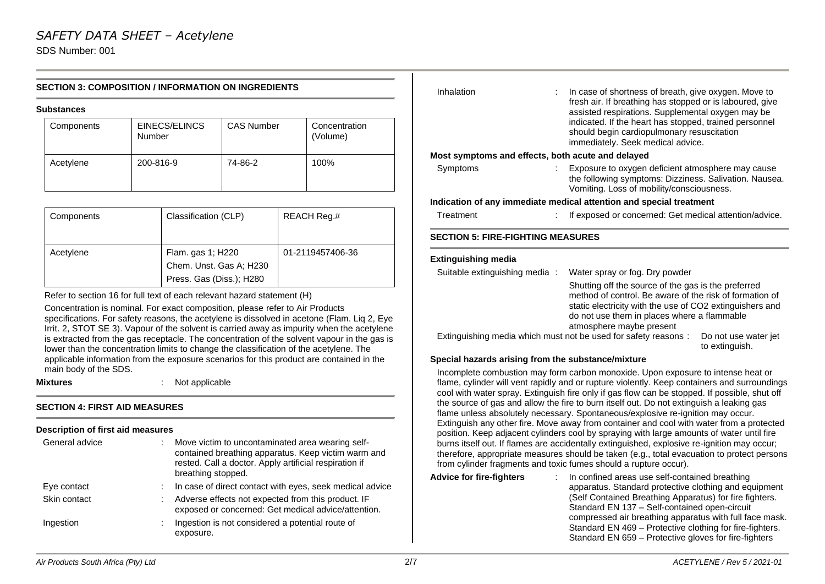# **SECTION 3: COMPOSITION / INFORMATION ON INGREDIENTS**

#### **Substances**

| Components | EINECS/ELINCS<br>Number | <b>CAS Number</b> | Concentration<br>(Volume) |
|------------|-------------------------|-------------------|---------------------------|
| Acetylene  | 200-816-9               | 74-86-2           | 100%                      |

| Components | Classification (CLP)                                                     | REACH Reg.#      |
|------------|--------------------------------------------------------------------------|------------------|
| Acetylene  | Flam. gas 1; H220<br>Chem. Unst. Gas A; H230<br>Press. Gas (Diss.); H280 | 01-2119457406-36 |

Refer to section 16 for full text of each relevant hazard statement (H)

Concentration is nominal. For exact composition, please refer to Air Products specifications. For safety reasons, the acetylene is dissolved in acetone (Flam. Liq 2, Eye Irrit. 2, STOT SE 3). Vapour of the solvent is carried away as impurity when the acetylene is extracted from the gas receptacle. The concentration of the solvent vapour in the gas is lower than the concentration limits to change the classification of the acetylene. The applicable information from the exposure scenarios for this product are contained in the main body of the SDS.

**Mixtures** : Not applicable

#### **SECTION 4: FIRST AID MEASURES**

#### **Description of first aid measures**

| General advice | Move victim to uncontaminated area wearing self-<br>contained breathing apparatus. Keep victim warm and<br>rested. Call a doctor. Apply artificial respiration if<br>breathing stopped. |
|----------------|-----------------------------------------------------------------------------------------------------------------------------------------------------------------------------------------|
| Eye contact    | In case of direct contact with eyes, seek medical advice                                                                                                                                |
| Skin contact   | Adverse effects not expected from this product. IF<br>exposed or concerned: Get medical advice/attention.                                                                               |
| Ingestion      | Ingestion is not considered a potential route of<br>exposure.                                                                                                                           |

| Inhalation                                                             | In case of shortness of breath, give oxygen. Move to<br>fresh air. If breathing has stopped or is laboured, give<br>assisted respirations. Supplemental oxygen may be<br>indicated. If the heart has stopped, trained personnel<br>should begin cardiopulmonary resuscitation<br>immediately. Seek medical advice.                               |
|------------------------------------------------------------------------|--------------------------------------------------------------------------------------------------------------------------------------------------------------------------------------------------------------------------------------------------------------------------------------------------------------------------------------------------|
| Most symptoms and effects, both acute and delayed                      |                                                                                                                                                                                                                                                                                                                                                  |
| Symptoms                                                               | Exposure to oxygen deficient atmosphere may cause<br>the following symptoms: Dizziness. Salivation. Nausea.<br>Vomiting. Loss of mobility/consciousness.                                                                                                                                                                                         |
|                                                                        | Indication of any immediate medical attention and special treatment                                                                                                                                                                                                                                                                              |
| Treatment                                                              | If exposed or concerned: Get medical attention/advice.                                                                                                                                                                                                                                                                                           |
| <b>SECTION 5: FIRE-FIGHTING MEASURES</b><br><b>Extinguishing media</b> |                                                                                                                                                                                                                                                                                                                                                  |
| Suitable extinguishing media:                                          | Water spray or fog. Dry powder                                                                                                                                                                                                                                                                                                                   |
|                                                                        | Shutting off the source of the gas is the preferred<br>method of control. Be aware of the risk of formation of<br>static electricity with the use of CO2 extinguishers and<br>do not use them in places where a flammable<br>atmosphere maybe present<br>Extinguishing media which must not be used for safety reasons :<br>Do not use water jet |
|                                                                        | to extinguish.                                                                                                                                                                                                                                                                                                                                   |
| Special hazards arising from the substance/mixture                     |                                                                                                                                                                                                                                                                                                                                                  |

#### Incomplete combustion may form carbon monoxide. Upon exposure to intense heat or flame, cylinder will vent rapidly and or rupture violently. Keep containers and surroundings cool with water spray. Extinguish fire only if gas flow can be stopped. If possible, shut off the source of gas and allow the fire to burn itself out. Do not extinguish a leaking gas flame unless absolutely necessary. Spontaneous/explosive re-ignition may occur. Extinguish any other fire. Move away from container and cool with water from a protected position. Keep adjacent cylinders cool by spraying with large amounts of water until fire burns itself out. If flames are accidentally extinguished, explosive re-ignition may occur; therefore, appropriate measures should be taken (e.g., total evacuation to protect persons from cylinder fragments and toxic fumes should a rupture occur).

**Advice for fire-fighters** : In confined areas use self-contained breathing apparatus. Standard protective clothing and equipment (Self Contained Breathing Apparatus) for fire fighters. Standard EN 137 – Self-contained open-circuit compressed air breathing apparatus with full face mask. Standard EN 469 – Protective clothing for fire-fighters. Standard EN 659 – Protective gloves for fire-fighters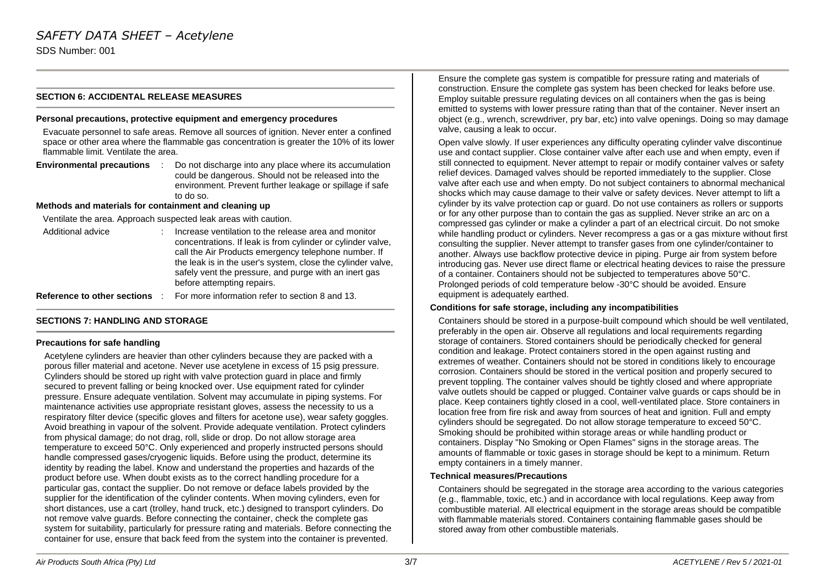# **SECTION 6: ACCIDENTAL RELEASE MEASURES**

#### **Personal precautions, protective equipment and emergency procedures**

Evacuate personnel to safe areas. Remove all sources of ignition. Never enter a confined space or other area where the flammable gas concentration is greater the 10% of its lower flammable limit. Ventilate the area.

**Environmental precautions** : Do not discharge into any place where its accumulation could be dangerous. Should not be released into the environment. Prevent further leakage or spillage if safe to do so.

#### **Methods and materials for containment and cleaning up**

Ventilate the area. Approach suspected leak areas with caution.

| Additional advice           | Increase ventilation to the release area and monitor<br>concentrations. If leak is from cylinder or cylinder valve,<br>call the Air Products emergency telephone number. If<br>the leak is in the user's system, close the cylinder valve,<br>safely vent the pressure, and purge with an inert gas<br>before attempting repairs. |
|-----------------------------|-----------------------------------------------------------------------------------------------------------------------------------------------------------------------------------------------------------------------------------------------------------------------------------------------------------------------------------|
| Reference to other sections | For more information refer to section 8 and 13.                                                                                                                                                                                                                                                                                   |

# **SECTIONS 7: HANDLING AND STORAGE**

#### **Precautions for safe handling**

Acetylene cylinders are heavier than other cylinders because they are packed with a porous filler material and acetone. Never use acetylene in excess of 15 psig pressure. Cylinders should be stored up right with valve protection guard in place and firmly secured to prevent falling or being knocked over. Use equipment rated for cylinder pressure. Ensure adequate ventilation. Solvent may accumulate in piping systems. For maintenance activities use appropriate resistant gloves, assess the necessity to us a respiratory filter device (specific gloves and filters for acetone use), wear safety goggles. Avoid breathing in vapour of the solvent. Provide adequate ventilation. Protect cylinders from physical damage; do not drag, roll, slide or drop. Do not allow storage area temperature to exceed 50°C. Only experienced and properly instructed persons should handle compressed gases/cryogenic liquids. Before using the product, determine its identity by reading the label. Know and understand the properties and hazards of the product before use. When doubt exists as to the correct handling procedure for a particular gas, contact the supplier. Do not remove or deface labels provided by the supplier for the identification of the cylinder contents. When moving cylinders, even for short distances, use a cart (trolley, hand truck, etc.) designed to transport cylinders. Do not remove valve guards. Before connecting the container, check the complete gas system for suitability, particularly for pressure rating and materials. Before connecting the container for use, ensure that back feed from the system into the container is prevented.

Ensure the complete gas system is compatible for pressure rating and materials of construction. Ensure the complete gas system has been checked for leaks before use. Employ suitable pressure regulating devices on all containers when the gas is being emitted to systems with lower pressure rating than that of the container. Never insert an object (e.g., wrench, screwdriver, pry bar, etc) into valve openings. Doing so may damage valve, causing a leak to occur.

Open valve slowly. If user experiences any difficulty operating cylinder valve discontinue use and contact supplier. Close container valve after each use and when empty, even if still connected to equipment. Never attempt to repair or modify container valves or safety relief devices. Damaged valves should be reported immediately to the supplier. Close valve after each use and when empty. Do not subject containers to abnormal mechanical shocks which may cause damage to their valve or safety devices. Never attempt to lift a cylinder by its valve protection cap or guard. Do not use containers as rollers or supports or for any other purpose than to contain the gas as supplied. Never strike an arc on a compressed gas cylinder or make a cylinder a part of an electrical circuit. Do not smoke while handling product or cylinders. Never recompress a gas or a gas mixture without first consulting the supplier. Never attempt to transfer gases from one cylinder/container to another. Always use backflow protective device in piping. Purge air from system before introducing gas. Never use direct flame or electrical heating devices to raise the pressure of a container. Containers should not be subjected to temperatures above 50°C. Prolonged periods of cold temperature below -30°C should be avoided. Ensure equipment is adequately earthed.

#### **Conditions for safe storage, including any incompatibilities**

Containers should be stored in a purpose-built compound which should be well ventilated, preferably in the open air. Observe all regulations and local requirements regarding storage of containers. Stored containers should be periodically checked for general condition and leakage. Protect containers stored in the open against rusting and extremes of weather. Containers should not be stored in conditions likely to encourage corrosion. Containers should be stored in the vertical position and properly secured to prevent toppling. The container valves should be tightly closed and where appropriate valve outlets should be capped or plugged. Container valve guards or caps should be in place. Keep containers tightly closed in a cool, well-ventilated place. Store containers in location free from fire risk and away from sources of heat and ignition. Full and empty cylinders should be segregated. Do not allow storage temperature to exceed 50°C. Smoking should be prohibited within storage areas or while handling product or containers. Display "No Smoking or Open Flames" signs in the storage areas. The amounts of flammable or toxic gases in storage should be kept to a minimum. Return empty containers in a timely manner.

#### **Technical measures/Precautions**

Containers should be segregated in the storage area according to the various categories (e.g., flammable, toxic, etc.) and in accordance with local regulations. Keep away from combustible material. All electrical equipment in the storage areas should be compatible with flammable materials stored. Containers containing flammable gases should be stored away from other combustible materials.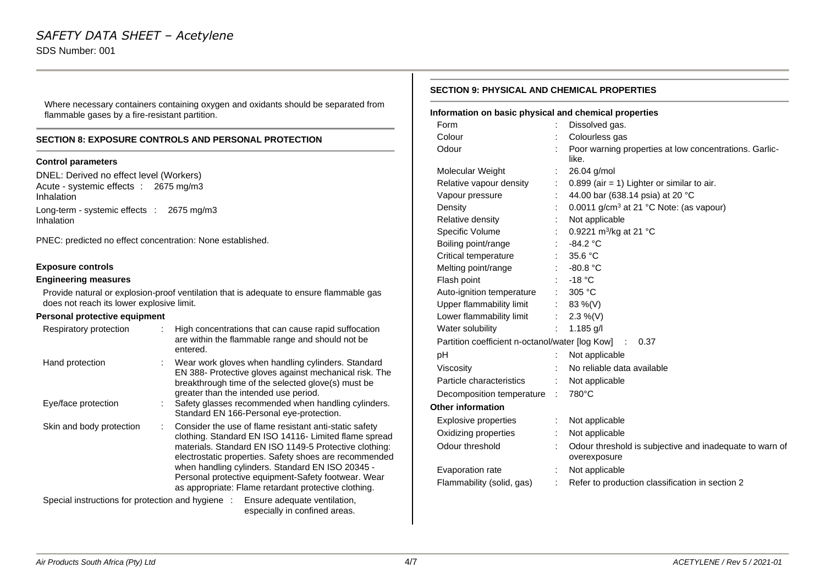Where necessary containers containing oxygen and oxidants should be separated from flammable gases by a fire-resistant partition.

# **SECTION 8: EXPOSURE CONTROLS AND PERSONAL PROTECTION**

### **Control parameters**

DNEL: Derived no effect level (Workers) Acute - systemic effects : 2675 mg/m3 Inhalation Long-term - systemic effects : 2675 mg/m3 Inhalation

PNEC: predicted no effect concentration: None established.

# **Exposure controls**

# **Engineering measures**

Provide natural or explosion-proof ventilation that is adequate to ensure flammable gas does not reach its lower explosive limit.

# **Personal protective equipment**

| Respiratory protection                                                         |  | High concentrations that can cause rapid suffocation<br>are within the flammable range and should not be<br>entered.                                                                                                                                                                                                                                                                                   |
|--------------------------------------------------------------------------------|--|--------------------------------------------------------------------------------------------------------------------------------------------------------------------------------------------------------------------------------------------------------------------------------------------------------------------------------------------------------------------------------------------------------|
| Hand protection                                                                |  | Wear work gloves when handling cylinders. Standard<br>EN 388- Protective gloves against mechanical risk. The<br>breakthrough time of the selected glove(s) must be<br>greater than the intended use period.                                                                                                                                                                                            |
| Eye/face protection                                                            |  | Safety glasses recommended when handling cylinders.<br>Standard EN 166-Personal eye-protection.                                                                                                                                                                                                                                                                                                        |
| Skin and body protection                                                       |  | Consider the use of flame resistant anti-static safety<br>clothing. Standard EN ISO 14116- Limited flame spread<br>materials. Standard EN ISO 1149-5 Protective clothing:<br>electrostatic properties. Safety shoes are recommended<br>when handling cylinders. Standard EN ISO 20345 -<br>Personal protective equipment-Safety footwear. Wear<br>as appropriate: Flame retardant protective clothing. |
| Special instructions for protection and hygiene : Ensure adequate ventilation, |  |                                                                                                                                                                                                                                                                                                                                                                                                        |

especially in confined areas.

#### **SECTION 9: PHYSICAL AND CHEMICAL PROPERTIES**

| Information on basic physical and chemical properties  |    |                                                                         |
|--------------------------------------------------------|----|-------------------------------------------------------------------------|
| Form                                                   |    | Dissolved gas.                                                          |
| Colour                                                 |    | Colourless gas                                                          |
| Odour                                                  |    | Poor warning properties at low concentrations. Garlic-<br>like.         |
| Molecular Weight                                       | ÷  | 26.04 g/mol                                                             |
| Relative vapour density                                | ÷  | $0.899$ (air = 1) Lighter or similar to air.                            |
| Vapour pressure                                        |    | 44.00 bar (638.14 psia) at 20 °C                                        |
| Density                                                | ÷. | 0.0011 g/cm <sup>3</sup> at 21 °C Note: (as vapour)                     |
| Relative density                                       |    | Not applicable                                                          |
| Specific Volume                                        |    | 0.9221 m <sup>3</sup> /kg at 21 °C                                      |
| Boiling point/range                                    |    | $-84.2 °C$                                                              |
| Critical temperature                                   |    | 35.6 °C                                                                 |
| Melting point/range                                    |    | $-80.8 °C$                                                              |
| Flash point                                            |    | $-18 °C$                                                                |
| Auto-ignition temperature                              |    | 305 °C                                                                  |
| Upper flammability limit                               |    | 83 %(V)                                                                 |
| Lower flammability limit                               | ÷  | 2.3 %(V)                                                                |
| Water solubility                                       | ÷  | 1.185 g/l                                                               |
| Partition coefficient n-octanol/water [log Kow] : 0.37 |    |                                                                         |
| pH                                                     | t  | Not applicable                                                          |
| Viscosity                                              |    | No reliable data available                                              |
| Particle characteristics                               | ÷  | Not applicable                                                          |
| Decomposition temperature                              | ÷  | 780°C                                                                   |
| <b>Other information</b>                               |    |                                                                         |
| <b>Explosive properties</b>                            | ÷. | Not applicable                                                          |
| Oxidizing properties                                   |    | Not applicable                                                          |
| Odour threshold                                        | ÷. | Odour threshold is subjective and inadequate to warn of<br>overexposure |
| Evaporation rate                                       | ÷  | Not applicable                                                          |
| Flammability (solid, gas)                              | ÷  | Refer to production classification in section 2                         |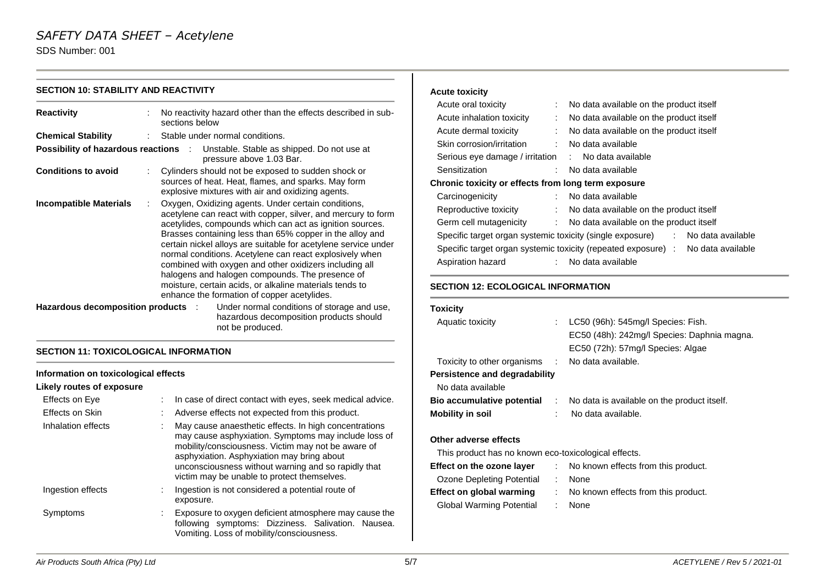# *SAFETY DATA SHEET – Acetylene*

SDS Number: 001

| <b>SECTION 10: STABILITY AND REACTIVITY</b>                                                                                 |                                                                                                                                                                                                                                                                                                                                                                                                                                                                                       | <b>Acute toxicity</b>                                                                                                                                                                                                                                                                                                                                                                                             |
|-----------------------------------------------------------------------------------------------------------------------------|---------------------------------------------------------------------------------------------------------------------------------------------------------------------------------------------------------------------------------------------------------------------------------------------------------------------------------------------------------------------------------------------------------------------------------------------------------------------------------------|-------------------------------------------------------------------------------------------------------------------------------------------------------------------------------------------------------------------------------------------------------------------------------------------------------------------------------------------------------------------------------------------------------------------|
| <b>Reactivity</b><br><b>Chemical Stability</b><br><b>Possibility of hazardous reactions :</b><br><b>Conditions to avoid</b> | No reactivity hazard other than the effects described in sub-<br>sections below<br>Stable under normal conditions.<br>Unstable. Stable as shipped. Do not use at<br>pressure above 1.03 Bar.<br>Cylinders should not be exposed to sudden shock or<br>sources of heat. Heat, flames, and sparks. May form<br>explosive mixtures with air and oxidizing agents.                                                                                                                        | Acute oral toxicity<br>No data available on the product itself<br>Acute inhalation toxicity<br>No data available on the product itself<br>Acute dermal toxicity<br>No data available on the product itself<br>Skin corrosion/irritation<br>No data available<br>Serious eye damage / irritation<br>No data available<br>Sensitization<br>No data available<br>Chronic toxicity or effects from long term exposure |
| <b>Incompatible Materials</b>                                                                                               | Oxygen, Oxidizing agents. Under certain conditions,<br>acetylene can react with copper, silver, and mercury to form<br>acetylides, compounds which can act as ignition sources.<br>Brasses containing less than 65% copper in the alloy and<br>certain nickel alloys are suitable for acetylene service under<br>normal conditions. Acetylene can react explosively when<br>combined with oxygen and other oxidizers including all<br>halogens and halogen compounds. The presence of | Carcinogenicity<br>No data available<br>Reproductive toxicity<br>No data available on the product itself<br>Germ cell mutagenicity<br>No data available on the product itself<br>Specific target organ systemic toxicity (single exposure)<br>No data available<br>Specific target organ systemic toxicity (repeated exposure) :<br>No data available<br>No data available<br>Aspiration hazard                   |
| Hazardous decomposition products :                                                                                          | moisture, certain acids, or alkaline materials tends to<br>enhance the formation of copper acetylides.<br>Under normal conditions of storage and use,<br>hazardous decomposition products should<br>not be produced.                                                                                                                                                                                                                                                                  | <b>SECTION 12: ECOLOGICAL INFORMATION</b><br><b>Toxicity</b><br>Aquatic toxicity<br>LC50 (96h): 545mg/l Species: Fish.<br>EC50 (48h): 242mg/l Species: Daphnia magna.                                                                                                                                                                                                                                             |
| <b>SECTION 11: TOXICOLOGICAL INFORMATION</b>                                                                                |                                                                                                                                                                                                                                                                                                                                                                                                                                                                                       | EC50 (72h): 57mg/l Species: Algae                                                                                                                                                                                                                                                                                                                                                                                 |
| Information on toxicological effects<br>Likely routes of exposure                                                           |                                                                                                                                                                                                                                                                                                                                                                                                                                                                                       | Toxicity to other organisms<br>No data available.<br><b>Persistence and degradability</b><br>No data available                                                                                                                                                                                                                                                                                                    |
| Effects on Eye                                                                                                              | In case of direct contact with eyes, seek medical advice.                                                                                                                                                                                                                                                                                                                                                                                                                             | Bio accumulative potential<br>No data is available on the product itself.                                                                                                                                                                                                                                                                                                                                         |
| Effects on Skin                                                                                                             | Adverse effects not expected from this product.                                                                                                                                                                                                                                                                                                                                                                                                                                       | <b>Mobility in soil</b><br>No data available.                                                                                                                                                                                                                                                                                                                                                                     |
| Inhalation effects                                                                                                          | May cause anaesthetic effects. In high concentrations<br>may cause asphyxiation. Symptoms may include loss of<br>mobility/consciousness. Victim may not be aware of<br>asphyxiation. Asphyxiation may bring about<br>unconsciousness without warning and so rapidly that<br>victim may be unable to protect themselves.                                                                                                                                                               | Other adverse effects<br>This product has no known eco-toxicological effects.<br>Effect on the ozone layer<br>No known effects from this product.<br><b>Ozone Depleting Potential</b><br>None                                                                                                                                                                                                                     |
| Ingestion effects                                                                                                           | Ingestion is not considered a potential route of<br>exposure.                                                                                                                                                                                                                                                                                                                                                                                                                         | <b>Effect on global warming</b><br>No known effects from this product.<br><b>Global Warming Potential</b><br>None                                                                                                                                                                                                                                                                                                 |

Symptoms : Exposure to oxygen deficient atmosphere may cause the

following symptoms: Dizziness. Salivation. Nausea.

Vomiting. Loss of mobility/consciousness.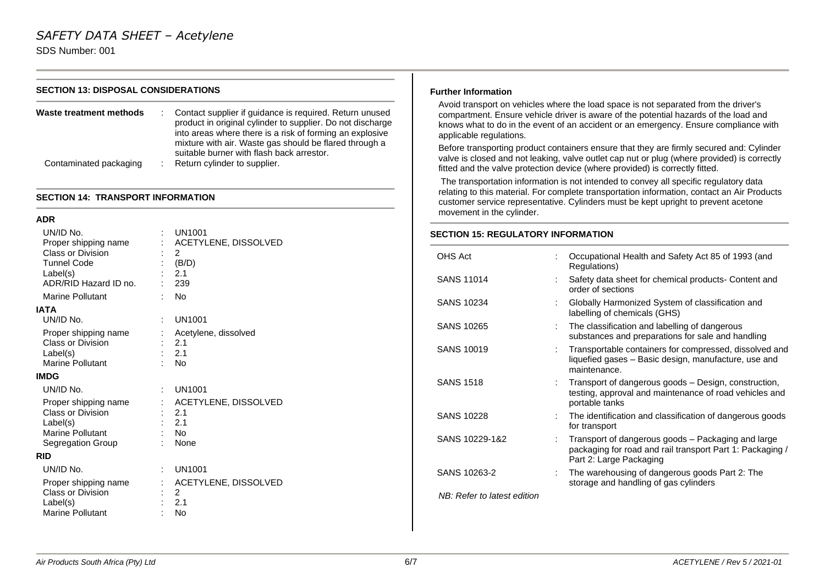#### **SECTION 13: DISPOSAL CONSIDERATIONS**

| Waste treatment methods | Contact supplier if quidance is required. Return unused<br>product in original cylinder to supplier. Do not discharge<br>into areas where there is a risk of forming an explosive<br>mixture with air. Waste gas should be flared through a<br>suitable burner with flash back arrestor. |
|-------------------------|------------------------------------------------------------------------------------------------------------------------------------------------------------------------------------------------------------------------------------------------------------------------------------------|
| Contaminated packaging  | Return cylinder to supplier.                                                                                                                                                                                                                                                             |

#### **SECTION 14: TRANSPORT INFORMATION**

#### **ADR**

| UN/ID No.<br>Proper shipping name<br><b>Class or Division</b><br><b>Tunnel Code</b><br>Label(s) |                           | <b>UN1001</b><br>ACETYLENE, DISSOLVED<br>2<br>: $(B/D)$<br>2.1 |
|-------------------------------------------------------------------------------------------------|---------------------------|----------------------------------------------------------------|
| ADR/RID Hazard ID no.                                                                           |                           | 239                                                            |
| <b>Marine Pollutant</b>                                                                         |                           | <b>No</b>                                                      |
| <b>IATA</b><br>UN/ID No.                                                                        | ÷.                        | <b>UN1001</b>                                                  |
| Proper shipping name<br>Class or Division<br>Label(s)<br>Marine Pollutant                       |                           | Acetylene, dissolved<br>2.1<br>2.1<br><b>No</b>                |
| <b>IMDG</b>                                                                                     |                           |                                                                |
| UN/ID No.                                                                                       | t.                        | <b>UN1001</b>                                                  |
| Proper shipping name<br>Class or Division<br>Label(s)<br>Marine Pollutant<br>Segregation Group  | $\mathbb{R}^{\mathbb{Z}}$ | ACETYLENE, DISSOLVED<br>2.1<br>2.1<br><b>No</b><br>None        |
| <b>RID</b>                                                                                      |                           |                                                                |
| UN/ID No.                                                                                       |                           | <b>UN1001</b>                                                  |
| Proper shipping name<br><b>Class or Division</b><br>Label(s)<br>Marine Pollutant                |                           | ACETYLENE, DISSOLVED<br>2<br>2.1<br><b>No</b>                  |

#### **Further Information**

Avoid transport on vehicles where the load space is not separated from the driver's compartment. Ensure vehicle driver is aware of the potential hazards of the load and knows what to do in the event of an accident or an emergency. Ensure compliance with applicable regulations.

Before transporting product containers ensure that they are firmly secured and: Cylinder valve is closed and not leaking, valve outlet cap nut or plug (where provided) is correctly fitted and the valve protection device (where provided) is correctly fitted.

The transportation information is not intended to convey all specific regulatory data relating to this material. For complete transportation information, contact an Air Products customer service representative. Cylinders must be kept upright to prevent acetone movement in the cylinder.

# **SECTION 15: REGULATORY INFORMATION**

| OHS Act                     | Occupational Health and Safety Act 85 of 1993 (and<br>Regulations)                                                                         |
|-----------------------------|--------------------------------------------------------------------------------------------------------------------------------------------|
| SANS 11014                  | Safety data sheet for chemical products- Content and<br>order of sections                                                                  |
| <b>SANS 10234</b>           | Globally Harmonized System of classification and<br>labelling of chemicals (GHS)                                                           |
| SANS 10265                  | The classification and labelling of dangerous<br>substances and preparations for sale and handling                                         |
| SANS 10019                  | Transportable containers for compressed, dissolved and<br>liquefied gases - Basic design, manufacture, use and<br>maintenance.             |
| <b>SANS 1518</b>            | Transport of dangerous goods - Design, construction,<br>testing, approval and maintenance of road vehicles and<br>portable tanks           |
| SANS 10228                  | The identification and classification of dangerous goods<br>for transport                                                                  |
| SANS 10229-1&2              | Transport of dangerous goods – Packaging and large<br>packaging for road and rail transport Part 1: Packaging /<br>Part 2: Large Packaging |
| SANS 10263-2                | The warehousing of dangerous goods Part 2: The<br>storage and handling of gas cylinders                                                    |
| NB: Refer to latest edition |                                                                                                                                            |